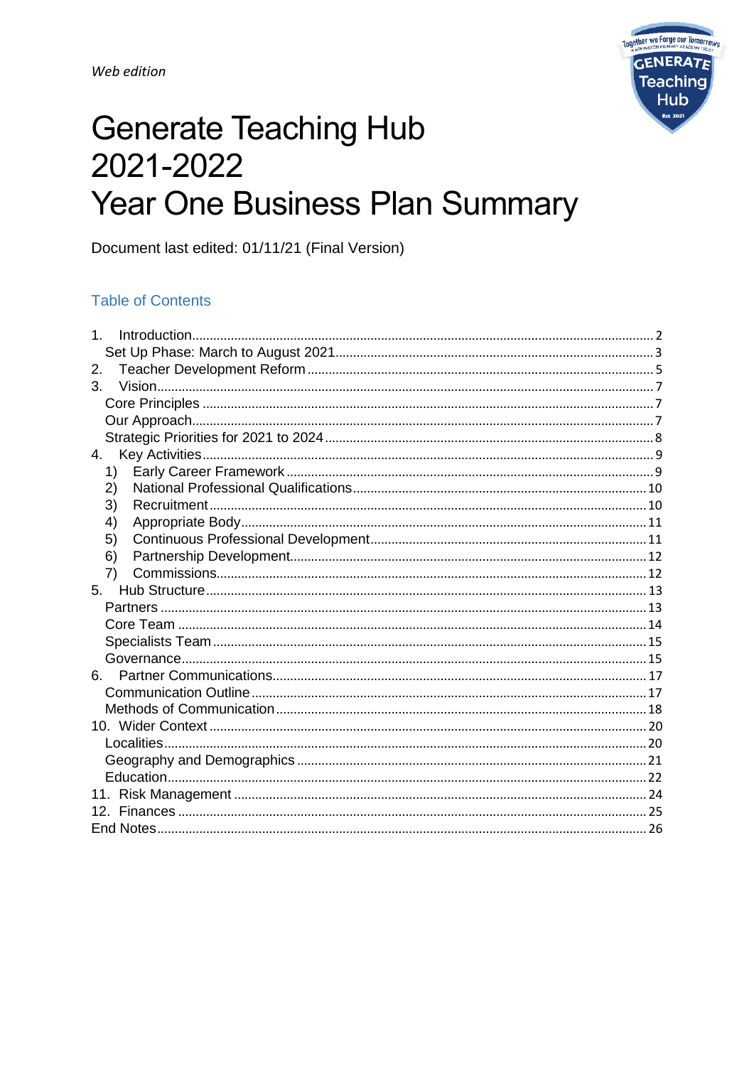

# **Generate Teaching Hub** 2021-2022 Year One Business Plan Summary

Document last edited: 01/11/21 (Final Version)

### **Table of Contents**

| 1 <sub>1</sub> |
|----------------|
|                |
| 2.             |
| 3.             |
|                |
|                |
|                |
| 4.             |
| 1)             |
| 2)             |
| 3)             |
| 4)             |
| 5)             |
| 6)             |
| 7)             |
| 5.             |
|                |
|                |
|                |
|                |
| 6.             |
|                |
|                |
|                |
|                |
|                |
|                |
|                |
|                |
|                |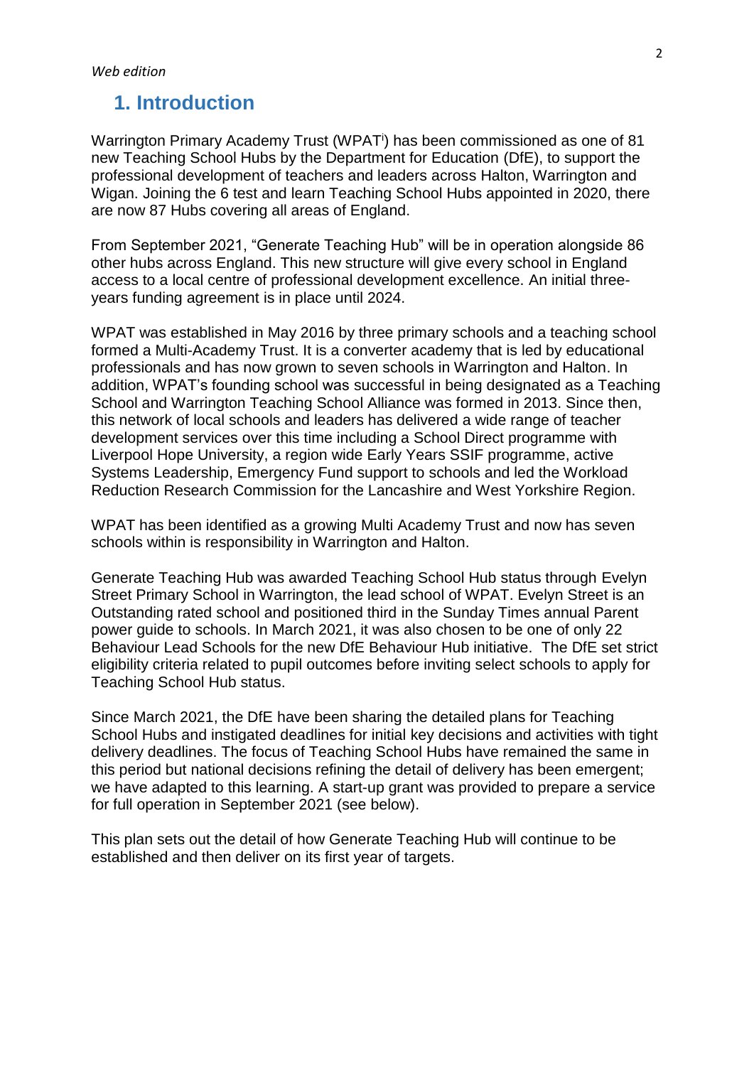### <span id="page-1-0"></span>**1. Introduction**

Warrington Primary Academy Trust (WPAT<sup>i</sup>) has been commissioned as one of 81 new Teaching School Hubs by the Department for Education (DfE), to support the professional development of teachers and leaders across Halton, Warrington and Wigan. Joining the 6 test and learn Teaching School Hubs appointed in 2020, there are now 87 Hubs covering all areas of England.

From September 2021, "Generate Teaching Hub" will be in operation alongside 86 other hubs across England. This new structure will give every school in England access to a local centre of professional development excellence. An initial threeyears funding agreement is in place until 2024.

WPAT was established in May 2016 by three primary schools and a teaching school formed a Multi-Academy Trust. It is a converter academy that is led by educational professionals and has now grown to seven schools in Warrington and Halton. In addition, WPAT's founding school was successful in being designated as a Teaching School and Warrington Teaching School Alliance was formed in 2013. Since then, this network of local schools and leaders has delivered a wide range of teacher development services over this time including a School Direct programme with Liverpool Hope University, a region wide Early Years SSIF programme, active Systems Leadership, Emergency Fund support to schools and led the Workload Reduction Research Commission for the Lancashire and West Yorkshire Region.

WPAT has been identified as a growing Multi Academy Trust and now has seven schools within is responsibility in Warrington and Halton.

Generate Teaching Hub was awarded Teaching School Hub status through Evelyn Street Primary School in Warrington, the lead school of WPAT. Evelyn Street is an Outstanding rated school and positioned third in the Sunday Times annual Parent power guide to schools. In March 2021, it was also chosen to be one of only 22 Behaviour Lead Schools for the new DfE Behaviour Hub initiative. The DfE set strict eligibility criteria related to pupil outcomes before inviting select schools to apply for Teaching School Hub status.

Since March 2021, the DfE have been sharing the detailed plans for Teaching School Hubs and instigated deadlines for initial key decisions and activities with tight delivery deadlines. The focus of Teaching School Hubs have remained the same in this period but national decisions refining the detail of delivery has been emergent; we have adapted to this learning. A start-up grant was provided to prepare a service for full operation in September 2021 (see below).

This plan sets out the detail of how Generate Teaching Hub will continue to be established and then deliver on its first year of targets.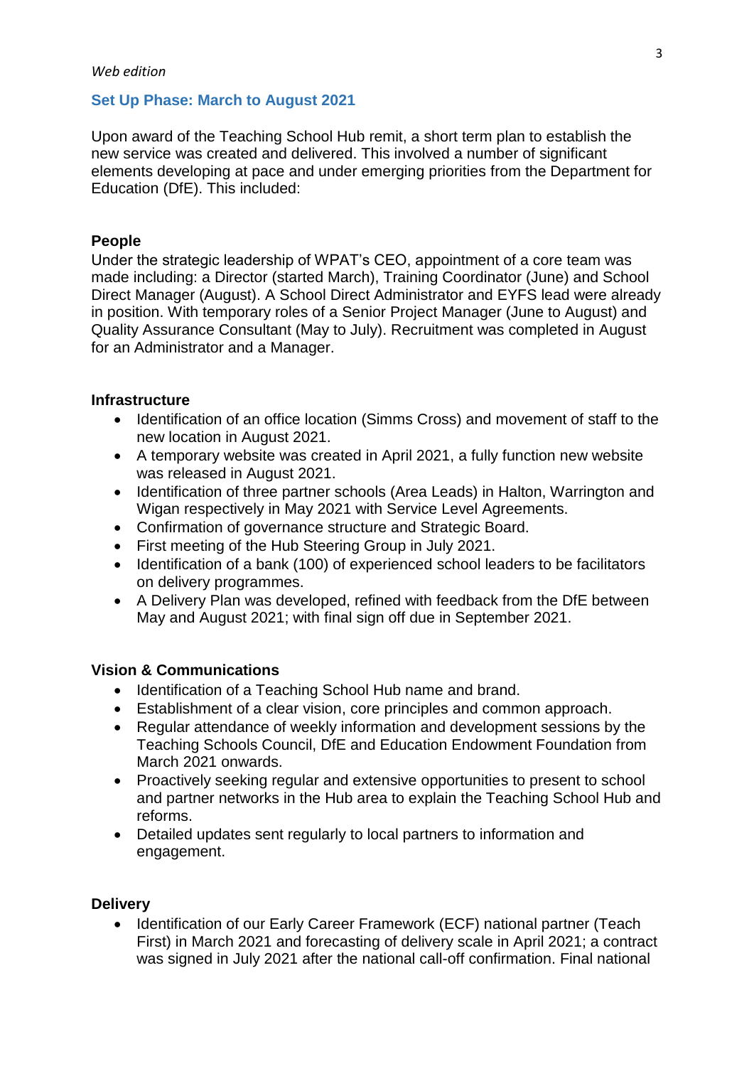### <span id="page-2-0"></span>**Set Up Phase: March to August 2021**

Upon award of the Teaching School Hub remit, a short term plan to establish the new service was created and delivered. This involved a number of significant elements developing at pace and under emerging priorities from the Department for Education (DfE). This included:

### **People**

Under the strategic leadership of WPAT's CEO, appointment of a core team was made including: a Director (started March), Training Coordinator (June) and School Direct Manager (August). A School Direct Administrator and EYFS lead were already in position. With temporary roles of a Senior Project Manager (June to August) and Quality Assurance Consultant (May to July). Recruitment was completed in August for an Administrator and a Manager.

### **Infrastructure**

- Identification of an office location (Simms Cross) and movement of staff to the new location in August 2021.
- A temporary website was created in April 2021, a fully function new website was released in August 2021.
- Identification of three partner schools (Area Leads) in Halton, Warrington and Wigan respectively in May 2021 with Service Level Agreements.
- Confirmation of governance structure and Strategic Board.
- First meeting of the Hub Steering Group in July 2021.
- Identification of a bank (100) of experienced school leaders to be facilitators on delivery programmes.
- A Delivery Plan was developed, refined with feedback from the DfE between May and August 2021; with final sign off due in September 2021.

### **Vision & Communications**

- Identification of a Teaching School Hub name and brand.
- Establishment of a clear vision, core principles and common approach.
- Regular attendance of weekly information and development sessions by the Teaching Schools Council, DfE and Education Endowment Foundation from March 2021 onwards.
- Proactively seeking regular and extensive opportunities to present to school and partner networks in the Hub area to explain the Teaching School Hub and reforms.
- Detailed updates sent regularly to local partners to information and engagement.

### **Delivery**

• Identification of our Early Career Framework (ECF) national partner (Teach First) in March 2021 and forecasting of delivery scale in April 2021; a contract was signed in July 2021 after the national call-off confirmation. Final national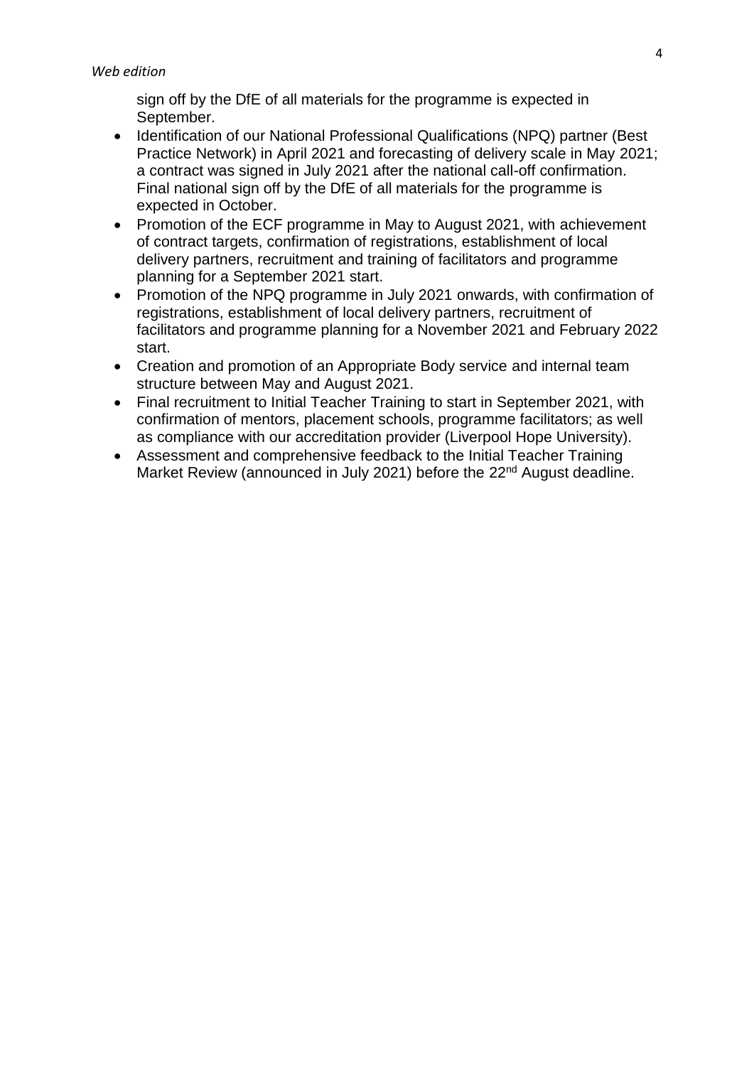sign off by the DfE of all materials for the programme is expected in September.

- Identification of our National Professional Qualifications (NPQ) partner (Best Practice Network) in April 2021 and forecasting of delivery scale in May 2021; a contract was signed in July 2021 after the national call-off confirmation. Final national sign off by the DfE of all materials for the programme is expected in October.
- Promotion of the ECF programme in May to August 2021, with achievement of contract targets, confirmation of registrations, establishment of local delivery partners, recruitment and training of facilitators and programme planning for a September 2021 start.
- Promotion of the NPQ programme in July 2021 onwards, with confirmation of registrations, establishment of local delivery partners, recruitment of facilitators and programme planning for a November 2021 and February 2022 start.
- Creation and promotion of an Appropriate Body service and internal team structure between May and August 2021.
- Final recruitment to Initial Teacher Training to start in September 2021, with confirmation of mentors, placement schools, programme facilitators; as well as compliance with our accreditation provider (Liverpool Hope University).
- Assessment and comprehensive feedback to the Initial Teacher Training Market Review (announced in July 2021) before the 22<sup>nd</sup> August deadline.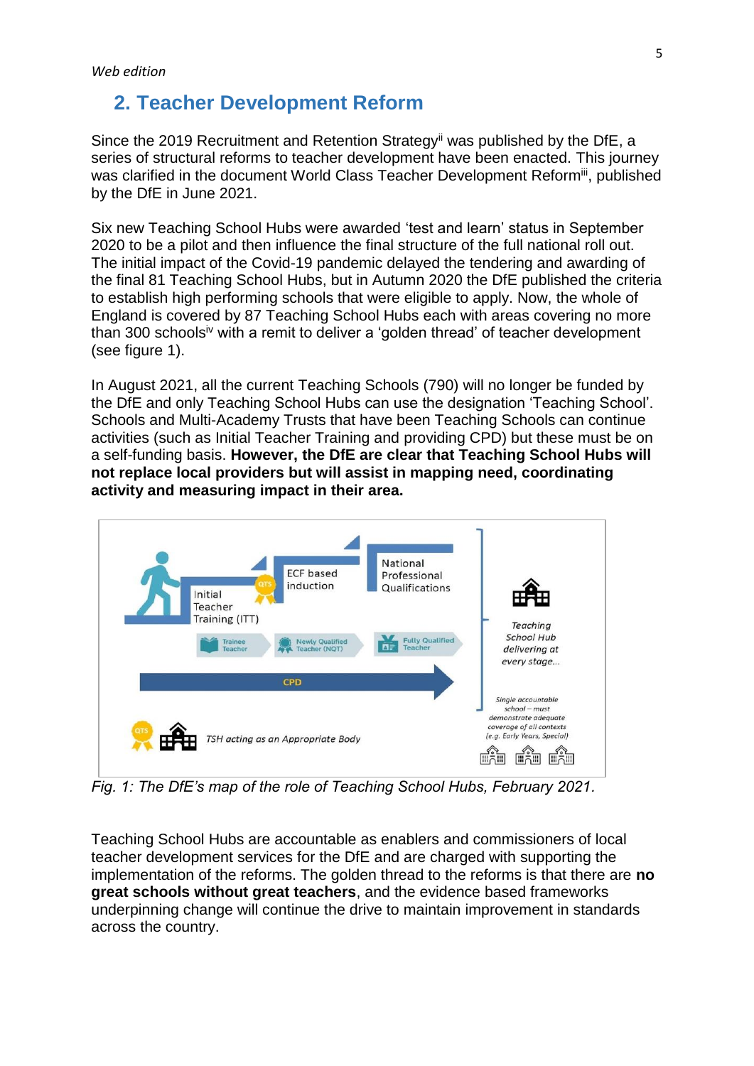### <span id="page-4-0"></span>**2. Teacher Development Reform**

Since the 2019 Recruitment and Retention Strategy<sup>ii</sup> was published by the DfE, a series of structural reforms to teacher development have been enacted. This journey was clarified in the document World Class Teacher Development Reformiii, published by the DfE in June 2021.

Six new Teaching School Hubs were awarded 'test and learn' status in September 2020 to be a pilot and then influence the final structure of the full national roll out. The initial impact of the Covid-19 pandemic delayed the tendering and awarding of the final 81 Teaching School Hubs, but in Autumn 2020 the DfE published the criteria to establish high performing schools that were eligible to apply. Now, the whole of England is covered by 87 Teaching School Hubs each with areas covering no more than 300 schools<sup>iv</sup> with a remit to deliver a 'golden thread' of teacher development (see figure 1).

In August 2021, all the current Teaching Schools (790) will no longer be funded by the DfE and only Teaching School Hubs can use the designation 'Teaching School'. Schools and Multi-Academy Trusts that have been Teaching Schools can continue activities (such as Initial Teacher Training and providing CPD) but these must be on a self-funding basis. **However, the DfE are clear that Teaching School Hubs will not replace local providers but will assist in mapping need, coordinating activity and measuring impact in their area.**



*Fig. 1: The DfE's map of the role of Teaching School Hubs, February 2021.*

Teaching School Hubs are accountable as enablers and commissioners of local teacher development services for the DfE and are charged with supporting the implementation of the reforms. The golden thread to the reforms is that there are **no great schools without great teachers**, and the evidence based frameworks underpinning change will continue the drive to maintain improvement in standards across the country.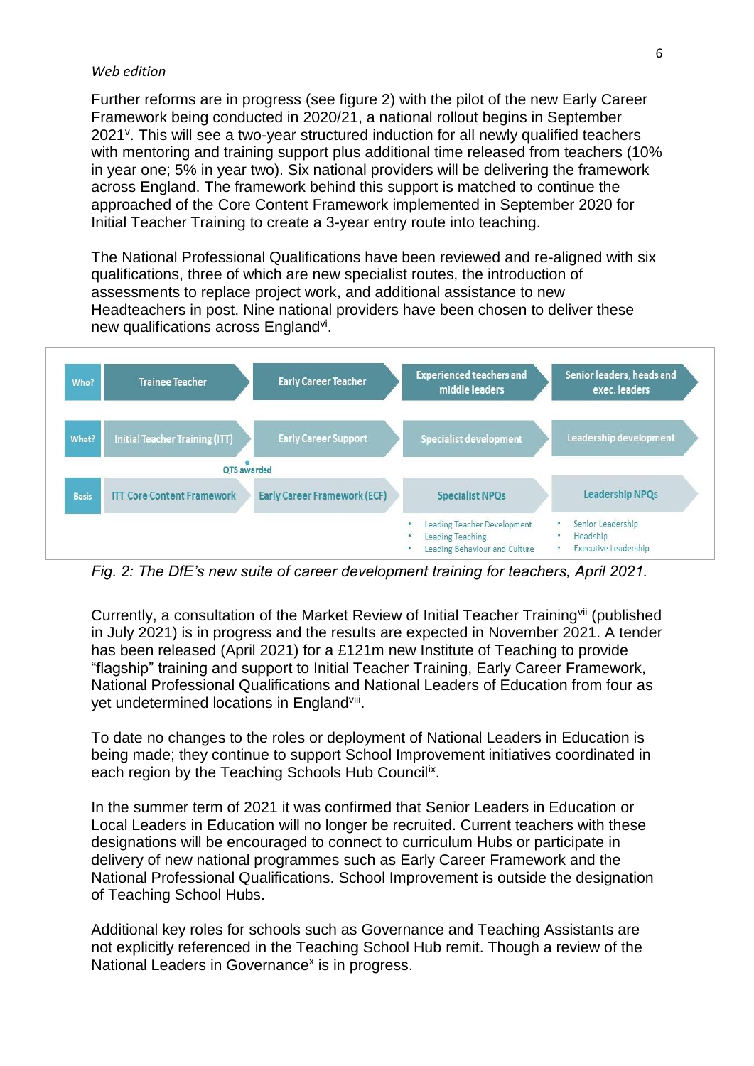#### *Web edition*

Further reforms are in progress (see figure 2) with the pilot of the new Early Career Framework being conducted in 2020/21, a national rollout begins in September 2021<sup>v</sup>. This will see a two-year structured induction for all newly qualified teachers with mentoring and training support plus additional time released from teachers (10%) in year one; 5% in year two). Six national providers will be delivering the framework across England. The framework behind this support is matched to continue the approached of the Core Content Framework implemented in September 2020 for Initial Teacher Training to create a 3-year entry route into teaching.

The National Professional Qualifications have been reviewed and re-aligned with six qualifications, three of which are new specialist routes, the introduction of assessments to replace project work, and additional assistance to new Headteachers in post. Nine national providers have been chosen to deliver these new qualifications across England<sup>vi</sup>.



*Fig. 2: The DfE's new suite of career development training for teachers, April 2021.*

Currently, a consultation of the Market Review of Initial Teacher Training<sup>vii</sup> (published in July 2021) is in progress and the results are expected in November 2021. A tender has been released (April 2021) for a £121m new Institute of Teaching to provide "flagship" training and support to Initial Teacher Training, Early Career Framework, National Professional Qualifications and National Leaders of Education from four as yet undetermined locations in England<sup>viii</sup>.

To date no changes to the roles or deployment of National Leaders in Education is being made; they continue to support School Improvement initiatives coordinated in each region by the Teaching Schools Hub Council<sup>ix</sup>.

In the summer term of 2021 it was confirmed that Senior Leaders in Education or Local Leaders in Education will no longer be recruited. Current teachers with these designations will be encouraged to connect to curriculum Hubs or participate in delivery of new national programmes such as Early Career Framework and the National Professional Qualifications. School Improvement is outside the designation of Teaching School Hubs.

Additional key roles for schools such as Governance and Teaching Assistants are not explicitly referenced in the Teaching School Hub remit. Though a review of the National Leaders in Governance<sup>x</sup> is in progress.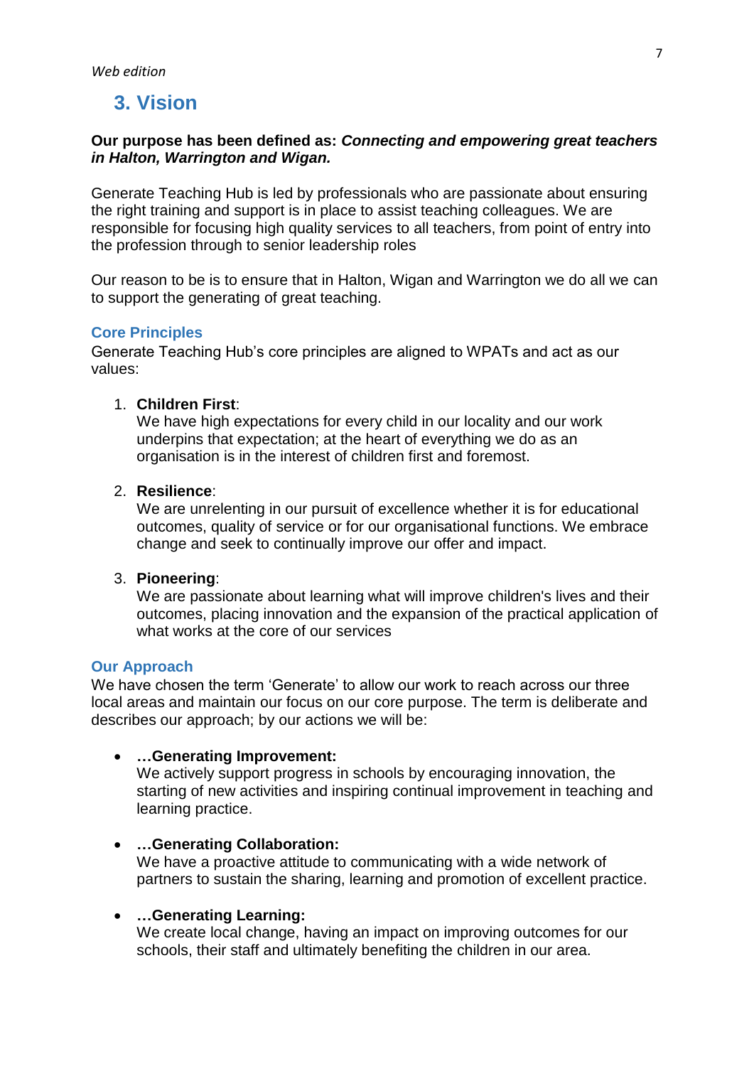# <span id="page-6-0"></span>**3. Vision**

### **Our purpose has been defined as:** *Connecting and empowering great teachers in Halton, Warrington and Wigan.*

Generate Teaching Hub is led by professionals who are passionate about ensuring the right training and support is in place to assist teaching colleagues. We are responsible for focusing high quality services to all teachers, from point of entry into the profession through to senior leadership roles

Our reason to be is to ensure that in Halton, Wigan and Warrington we do all we can to support the generating of great teaching.

### <span id="page-6-1"></span>**Core Principles**

Generate Teaching Hub's core principles are aligned to WPATs and act as our values:

### 1. **Children First**:

We have high expectations for every child in our locality and our work underpins that expectation; at the heart of everything we do as an organisation is in the interest of children first and foremost.

### 2. **Resilience**:

We are unrelenting in our pursuit of excellence whether it is for educational outcomes, quality of service or for our organisational functions. We embrace change and seek to continually improve our offer and impact.

### 3. **Pioneering**:

We are passionate about learning what will improve children's lives and their outcomes, placing innovation and the expansion of the practical application of what works at the core of our services

### <span id="page-6-2"></span>**Our Approach**

We have chosen the term 'Generate' to allow our work to reach across our three local areas and maintain our focus on our core purpose. The term is deliberate and describes our approach; by our actions we will be:

### **…Generating Improvement:**

We actively support progress in schools by encouraging innovation, the starting of new activities and inspiring continual improvement in teaching and learning practice.

### **…Generating Collaboration:**

We have a proactive attitude to communicating with a wide network of partners to sustain the sharing, learning and promotion of excellent practice.

### **…Generating Learning:**

We create local change, having an impact on improving outcomes for our schools, their staff and ultimately benefiting the children in our area.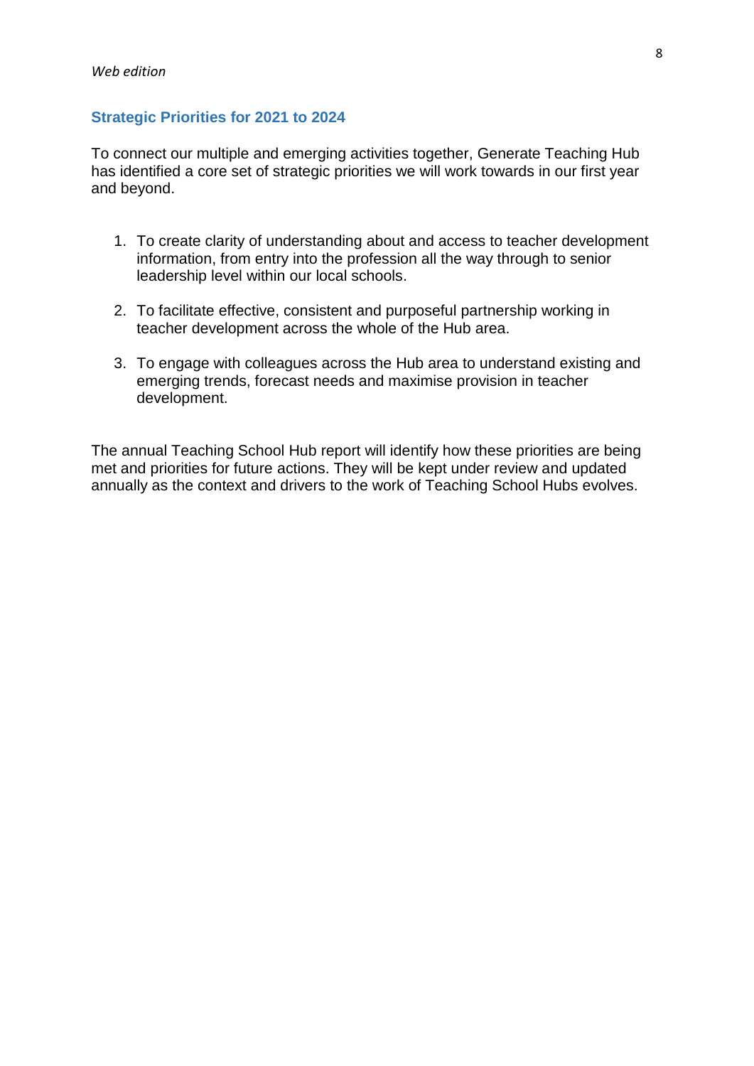### <span id="page-7-0"></span>**Strategic Priorities for 2021 to 2024**

To connect our multiple and emerging activities together, Generate Teaching Hub has identified a core set of strategic priorities we will work towards in our first year and beyond.

- 1. To create clarity of understanding about and access to teacher development information, from entry into the profession all the way through to senior leadership level within our local schools.
- 2. To facilitate effective, consistent and purposeful partnership working in teacher development across the whole of the Hub area.
- 3. To engage with colleagues across the Hub area to understand existing and emerging trends, forecast needs and maximise provision in teacher development.

The annual Teaching School Hub report will identify how these priorities are being met and priorities for future actions. They will be kept under review and updated annually as the context and drivers to the work of Teaching School Hubs evolves.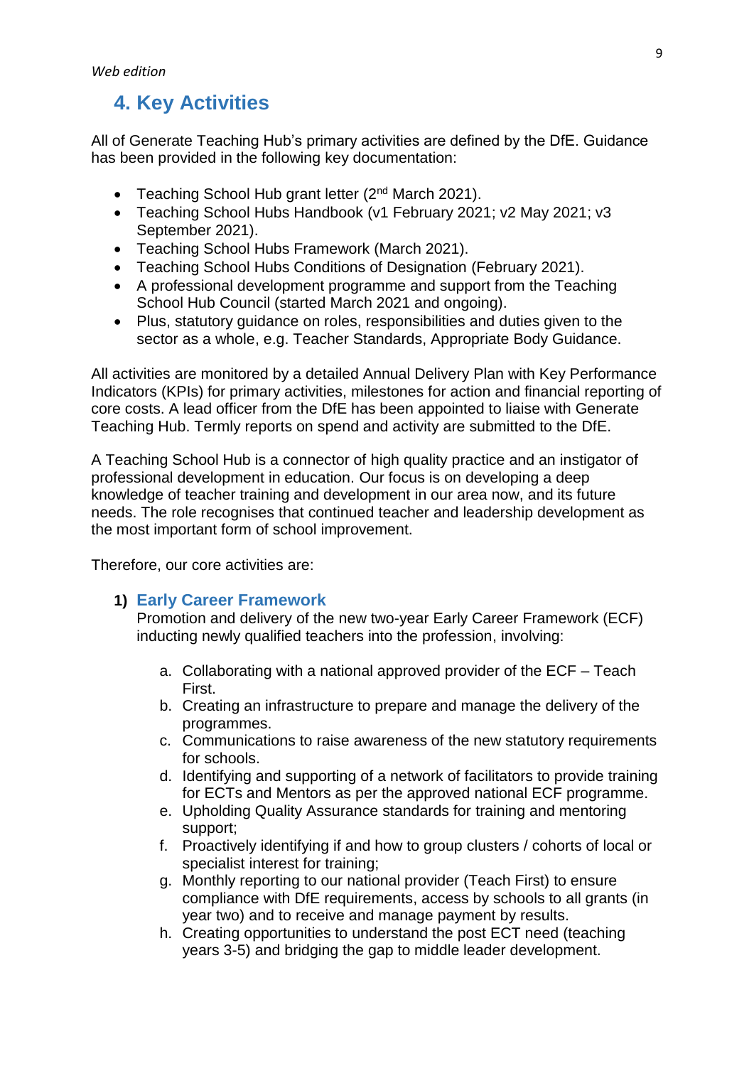# <span id="page-8-0"></span>**4. Key Activities**

All of Generate Teaching Hub's primary activities are defined by the DfE. Guidance has been provided in the following key documentation:

- Teaching School Hub grant letter  $(2^{nd}$  March 2021).
- Teaching School Hubs Handbook (v1 February 2021; v2 May 2021; v3 September 2021).
- Teaching School Hubs Framework (March 2021).
- Teaching School Hubs Conditions of Designation (February 2021).
- A professional development programme and support from the Teaching School Hub Council (started March 2021 and ongoing).
- Plus, statutory guidance on roles, responsibilities and duties given to the sector as a whole, e.g. Teacher Standards, Appropriate Body Guidance.

All activities are monitored by a detailed Annual Delivery Plan with Key Performance Indicators (KPIs) for primary activities, milestones for action and financial reporting of core costs. A lead officer from the DfE has been appointed to liaise with Generate Teaching Hub. Termly reports on spend and activity are submitted to the DfE.

A Teaching School Hub is a connector of high quality practice and an instigator of professional development in education. Our focus is on developing a deep knowledge of teacher training and development in our area now, and its future needs. The role recognises that continued teacher and leadership development as the most important form of school improvement.

Therefore, our core activities are:

### <span id="page-8-1"></span>**1) Early Career Framework**

Promotion and delivery of the new two-year Early Career Framework (ECF) inducting newly qualified teachers into the profession, involving:

- a. Collaborating with a national approved provider of the ECF Teach First.
- b. Creating an infrastructure to prepare and manage the delivery of the programmes.
- c. Communications to raise awareness of the new statutory requirements for schools.
- d. Identifying and supporting of a network of facilitators to provide training for ECTs and Mentors as per the approved national ECF programme.
- e. Upholding Quality Assurance standards for training and mentoring support;
- f. Proactively identifying if and how to group clusters / cohorts of local or specialist interest for training;
- g. Monthly reporting to our national provider (Teach First) to ensure compliance with DfE requirements, access by schools to all grants (in year two) and to receive and manage payment by results.
- h. Creating opportunities to understand the post ECT need (teaching years 3-5) and bridging the gap to middle leader development.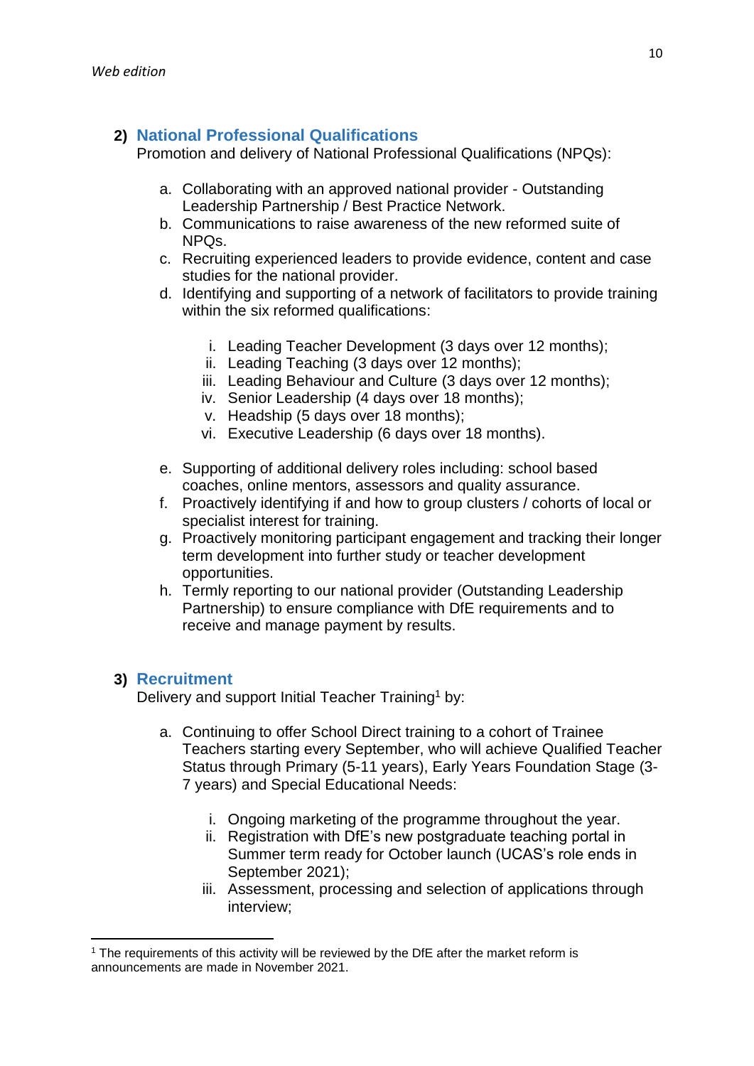### <span id="page-9-0"></span>**2) National Professional Qualifications**

Promotion and delivery of National Professional Qualifications (NPQs):

- a. Collaborating with an approved national provider Outstanding Leadership Partnership / Best Practice Network.
- b. Communications to raise awareness of the new reformed suite of NPQs.
- c. Recruiting experienced leaders to provide evidence, content and case studies for the national provider.
- d. Identifying and supporting of a network of facilitators to provide training within the six reformed qualifications:
	- i. Leading Teacher Development (3 days over 12 months);
	- ii. Leading Teaching (3 days over 12 months);
	- iii. Leading Behaviour and Culture (3 days over 12 months);
	- iv. Senior Leadership (4 days over 18 months);
	- v. Headship (5 days over 18 months);
	- vi. Executive Leadership (6 days over 18 months).
- e. Supporting of additional delivery roles including: school based coaches, online mentors, assessors and quality assurance.
- f. Proactively identifying if and how to group clusters / cohorts of local or specialist interest for training.
- g. Proactively monitoring participant engagement and tracking their longer term development into further study or teacher development opportunities.
- h. Termly reporting to our national provider (Outstanding Leadership Partnership) to ensure compliance with DfE requirements and to receive and manage payment by results.

### <span id="page-9-1"></span>**3) Recruitment**

Delivery and support Initial Teacher Training<sup>1</sup> by:

- a. Continuing to offer School Direct training to a cohort of Trainee Teachers starting every September, who will achieve Qualified Teacher Status through Primary (5-11 years), Early Years Foundation Stage (3- 7 years) and Special Educational Needs:
	- i. Ongoing marketing of the programme throughout the year.
	- ii. Registration with DfE's new postgraduate teaching portal in Summer term ready for October launch (UCAS's role ends in September 2021);
	- iii. Assessment, processing and selection of applications through interview;

**<sup>.</sup>** <sup>1</sup> The requirements of this activity will be reviewed by the DfE after the market reform is announcements are made in November 2021.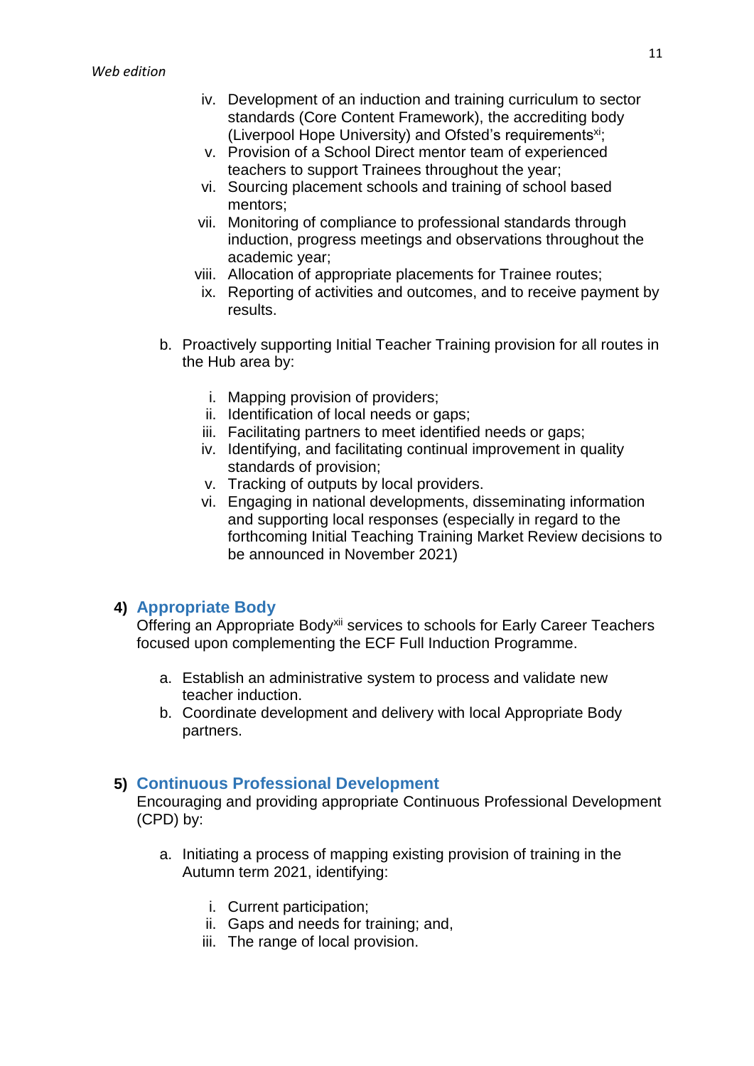- iv. Development of an induction and training curriculum to sector standards (Core Content Framework), the accrediting body (Liverpool Hope University) and Ofsted's requirements<sup>xi</sup>;
- v. Provision of a School Direct mentor team of experienced teachers to support Trainees throughout the year;
- vi. Sourcing placement schools and training of school based mentors;
- vii. Monitoring of compliance to professional standards through induction, progress meetings and observations throughout the academic year;
- viii. Allocation of appropriate placements for Trainee routes;
- ix. Reporting of activities and outcomes, and to receive payment by results.
- b. Proactively supporting Initial Teacher Training provision for all routes in the Hub area by:
	- i. Mapping provision of providers;
	- ii. Identification of local needs or gaps;
	- iii. Facilitating partners to meet identified needs or gaps;
	- iv. Identifying, and facilitating continual improvement in quality standards of provision;
	- v. Tracking of outputs by local providers.
	- vi. Engaging in national developments, disseminating information and supporting local responses (especially in regard to the forthcoming Initial Teaching Training Market Review decisions to be announced in November 2021)

### <span id="page-10-0"></span>**4) Appropriate Body**

Offering an Appropriate Body<sup>xii</sup> services to schools for Early Career Teachers focused upon complementing the ECF Full Induction Programme.

- a. Establish an administrative system to process and validate new teacher induction.
- b. Coordinate development and delivery with local Appropriate Body partners.

### <span id="page-10-1"></span>**5) Continuous Professional Development**

Encouraging and providing appropriate Continuous Professional Development (CPD) by:

- a. Initiating a process of mapping existing provision of training in the Autumn term 2021, identifying:
	- i. Current participation;
	- ii. Gaps and needs for training; and,
	- iii. The range of local provision.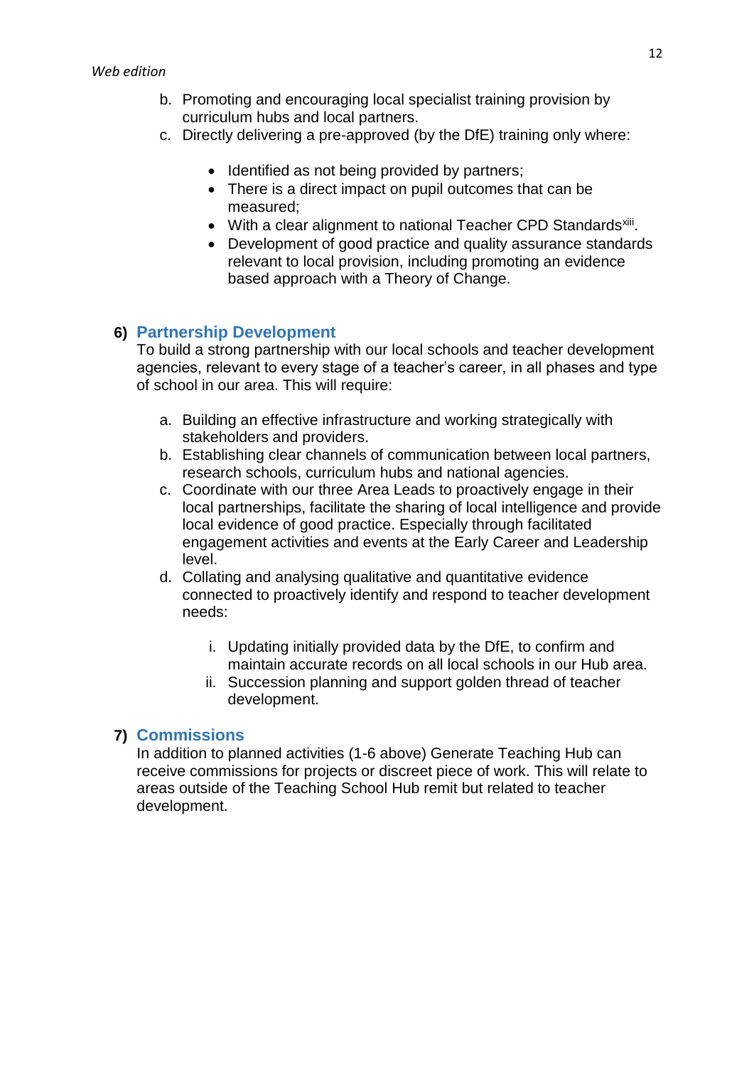- b. Promoting and encouraging local specialist training provision by curriculum hubs and local partners.
- c. Directly delivering a pre-approved (by the DfE) training only where:
	- Identified as not being provided by partners;
	- There is a direct impact on pupil outcomes that can be measured;
	- With a clear alignment to national Teacher CPD Standards<sup>xiii</sup>.
	- Development of good practice and quality assurance standards relevant to local provision, including promoting an evidence based approach with a Theory of Change.

### <span id="page-11-0"></span>**6) Partnership Development**

To build a strong partnership with our local schools and teacher development agencies, relevant to every stage of a teacher's career, in all phases and type of school in our area. This will require:

- a. Building an effective infrastructure and working strategically with stakeholders and providers.
- b. Establishing clear channels of communication between local partners, research schools, curriculum hubs and national agencies.
- c. Coordinate with our three Area Leads to proactively engage in their local partnerships, facilitate the sharing of local intelligence and provide local evidence of good practice. Especially through facilitated engagement activities and events at the Early Career and Leadership level.
- d. Collating and analysing qualitative and quantitative evidence connected to proactively identify and respond to teacher development needs:
	- i. Updating initially provided data by the DfE, to confirm and maintain accurate records on all local schools in our Hub area.
	- ii. Succession planning and support golden thread of teacher development.

### <span id="page-11-1"></span>**7) Commissions**

In addition to planned activities (1-6 above) Generate Teaching Hub can receive commissions for projects or discreet piece of work. This will relate to areas outside of the Teaching School Hub remit but related to teacher development.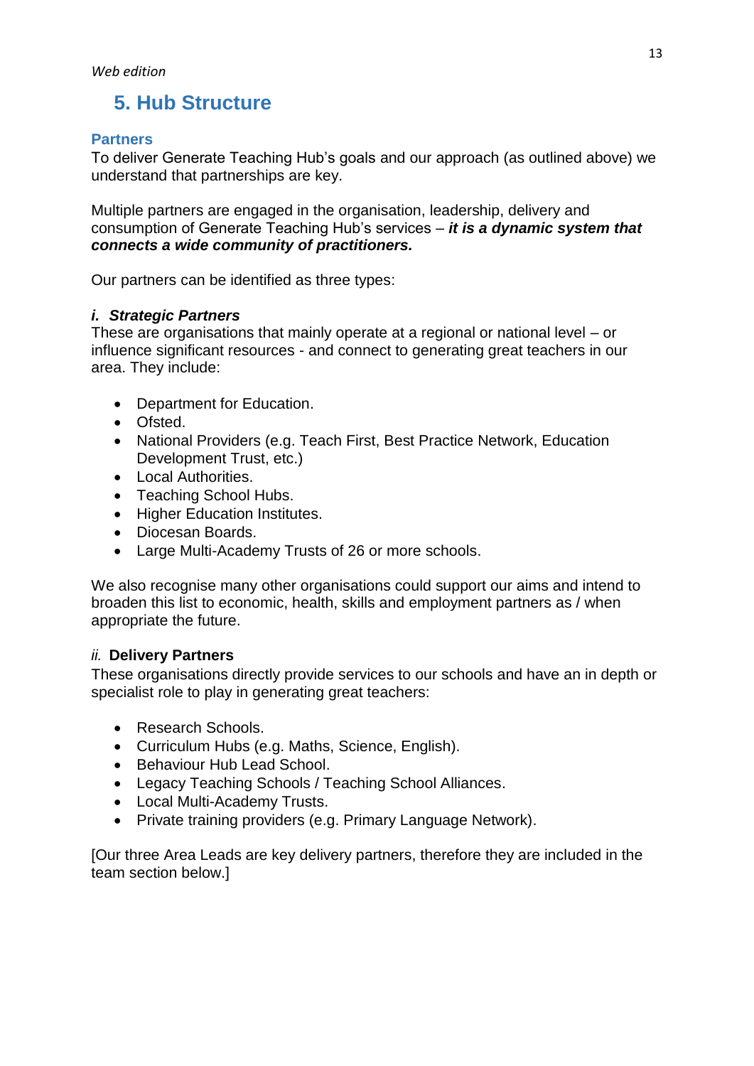# <span id="page-12-0"></span>**5. Hub Structure**

### <span id="page-12-1"></span>**Partners**

To deliver Generate Teaching Hub's goals and our approach (as outlined above) we understand that partnerships are key.

Multiple partners are engaged in the organisation, leadership, delivery and consumption of Generate Teaching Hub's services – *it is a dynamic system that connects a wide community of practitioners.*

Our partners can be identified as three types:

### *i. Strategic Partners*

These are organisations that mainly operate at a regional or national level – or influence significant resources - and connect to generating great teachers in our area. They include:

- Department for Education.
- Ofsted.
- National Providers (e.g. Teach First, Best Practice Network, Education Development Trust, etc.)
- Local Authorities.
- Teaching School Hubs.
- Higher Education Institutes.
- Diocesan Boards.
- Large Multi-Academy Trusts of 26 or more schools.

We also recognise many other organisations could support our aims and intend to broaden this list to economic, health, skills and employment partners as / when appropriate the future.

### *ii.* **Delivery Partners**

These organisations directly provide services to our schools and have an in depth or specialist role to play in generating great teachers:

- Research Schools.
- Curriculum Hubs (e.g. Maths, Science, English).
- Behaviour Hub Lead School.
- Legacy Teaching Schools / Teaching School Alliances.
- Local Multi-Academy Trusts.
- Private training providers (e.g. Primary Language Network).

[Our three Area Leads are key delivery partners, therefore they are included in the team section below.]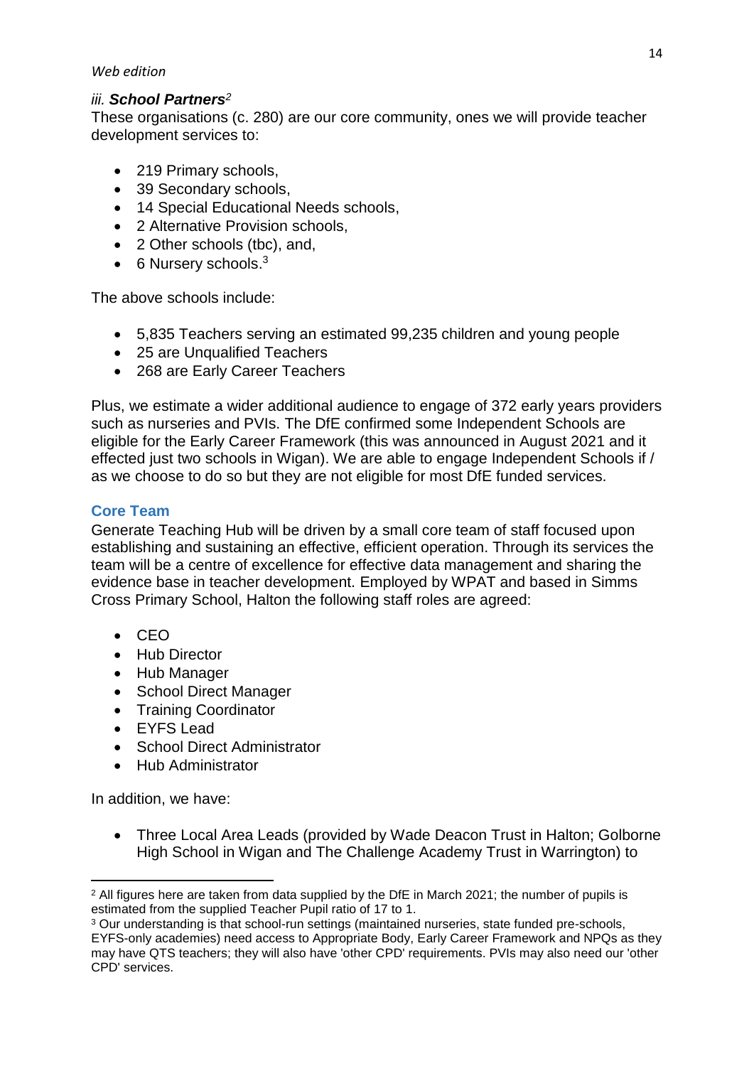### *Web edition*

### *iii. School Partners<sup>2</sup>*

These organisations (c. 280) are our core community, ones we will provide teacher development services to:

- 219 Primary schools,
- 39 Secondary schools,
- 14 Special Educational Needs schools,
- 2 Alternative Provision schools,
- 2 Other schools (tbc), and,
- 6 Nursery schools.<sup>3</sup>

The above schools include:

- 5,835 Teachers serving an estimated 99,235 children and young people
- 25 are Unqualified Teachers
- 268 are Early Career Teachers

Plus, we estimate a wider additional audience to engage of 372 early years providers such as nurseries and PVIs. The DfE confirmed some Independent Schools are eligible for the Early Career Framework (this was announced in August 2021 and it effected just two schools in Wigan). We are able to engage Independent Schools if / as we choose to do so but they are not eligible for most DfE funded services.

### <span id="page-13-0"></span>**Core Team**

Generate Teaching Hub will be driven by a small core team of staff focused upon establishing and sustaining an effective, efficient operation. Through its services the team will be a centre of excellence for effective data management and sharing the evidence base in teacher development. Employed by WPAT and based in Simms Cross Primary School, Halton the following staff roles are agreed:

- $-CEO$
- Hub Director
- Hub Manager
- School Direct Manager
- Training Coordinator
- EYFS Lead
- School Direct Administrator
- Hub Administrator

In addition, we have:

 Three Local Area Leads (provided by Wade Deacon Trust in Halton; Golborne High School in Wigan and The Challenge Academy Trust in Warrington) to

<sup>1</sup>  $2$  All figures here are taken from data supplied by the DfE in March 2021; the number of pupils is estimated from the supplied Teacher Pupil ratio of 17 to 1.

<sup>&</sup>lt;sup>3</sup> Our understanding is that school-run settings (maintained nurseries, state funded pre-schools, EYFS-only academies) need access to Appropriate Body, Early Career Framework and NPQs as they may have QTS teachers; they will also have 'other CPD' requirements. PVIs may also need our 'other CPD' services.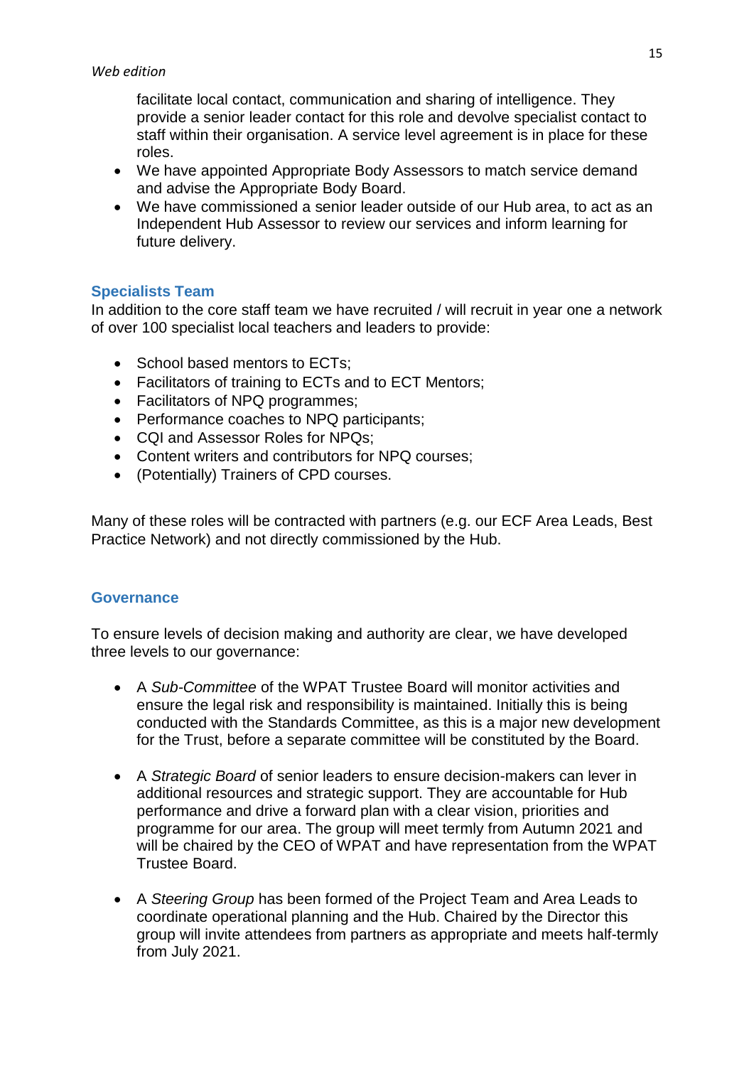facilitate local contact, communication and sharing of intelligence. They provide a senior leader contact for this role and devolve specialist contact to staff within their organisation. A service level agreement is in place for these roles.

- We have appointed Appropriate Body Assessors to match service demand and advise the Appropriate Body Board.
- We have commissioned a senior leader outside of our Hub area, to act as an Independent Hub Assessor to review our services and inform learning for future delivery.

### <span id="page-14-0"></span>**Specialists Team**

In addition to the core staff team we have recruited / will recruit in year one a network of over 100 specialist local teachers and leaders to provide:

- School based mentors to ECTs;
- Facilitators of training to ECTs and to ECT Mentors;
- Facilitators of NPQ programmes;
- Performance coaches to NPQ participants;
- CQI and Assessor Roles for NPQs:
- Content writers and contributors for NPQ courses;
- (Potentially) Trainers of CPD courses.

Many of these roles will be contracted with partners (e.g. our ECF Area Leads, Best Practice Network) and not directly commissioned by the Hub.

### <span id="page-14-1"></span>**Governance**

To ensure levels of decision making and authority are clear, we have developed three levels to our governance:

- A *Sub-Committee* of the WPAT Trustee Board will monitor activities and ensure the legal risk and responsibility is maintained. Initially this is being conducted with the Standards Committee, as this is a major new development for the Trust, before a separate committee will be constituted by the Board.
- A *Strategic Board* of senior leaders to ensure decision-makers can lever in additional resources and strategic support. They are accountable for Hub performance and drive a forward plan with a clear vision, priorities and programme for our area. The group will meet termly from Autumn 2021 and will be chaired by the CEO of WPAT and have representation from the WPAT Trustee Board.
- A *Steering Group* has been formed of the Project Team and Area Leads to coordinate operational planning and the Hub. Chaired by the Director this group will invite attendees from partners as appropriate and meets half-termly from July 2021.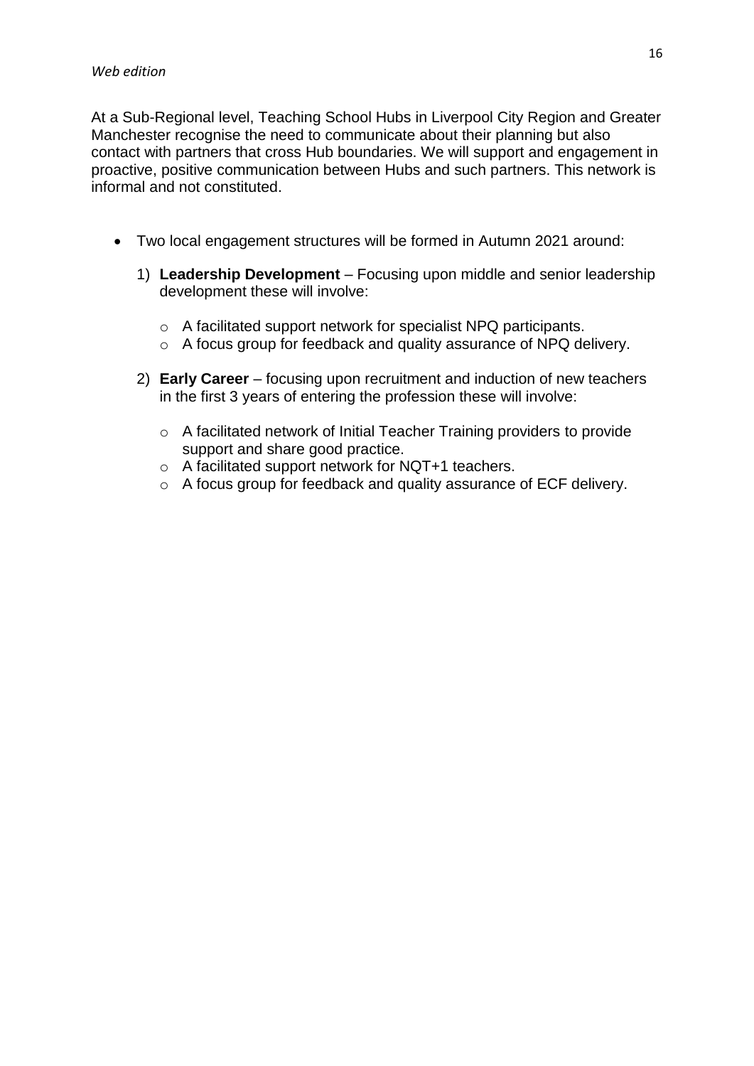At a Sub-Regional level, Teaching School Hubs in Liverpool City Region and Greater Manchester recognise the need to communicate about their planning but also contact with partners that cross Hub boundaries. We will support and engagement in proactive, positive communication between Hubs and such partners. This network is informal and not constituted.

- Two local engagement structures will be formed in Autumn 2021 around:
	- 1) **Leadership Development** Focusing upon middle and senior leadership development these will involve:
		- o A facilitated support network for specialist NPQ participants.
		- o A focus group for feedback and quality assurance of NPQ delivery.
	- 2) **Early Career** focusing upon recruitment and induction of new teachers in the first 3 years of entering the profession these will involve:
		- o A facilitated network of Initial Teacher Training providers to provide support and share good practice.
		- o A facilitated support network for NQT+1 teachers.
		- o A focus group for feedback and quality assurance of ECF delivery.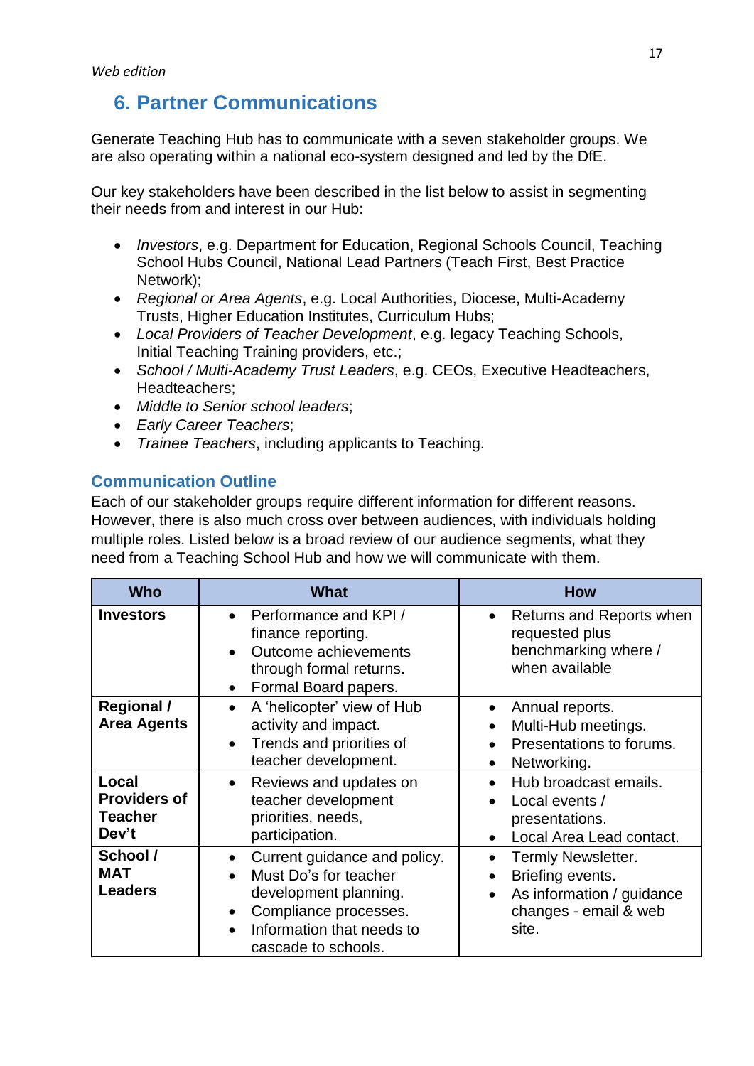# <span id="page-16-0"></span>**6. Partner Communications**

Generate Teaching Hub has to communicate with a seven stakeholder groups. We are also operating within a national eco-system designed and led by the DfE.

Our key stakeholders have been described in the list below to assist in segmenting their needs from and interest in our Hub:

- *Investors*, e.g. Department for Education, Regional Schools Council, Teaching School Hubs Council, National Lead Partners (Teach First, Best Practice Network);
- *Regional or Area Agents*, e.g. Local Authorities, Diocese, Multi-Academy Trusts, Higher Education Institutes, Curriculum Hubs;
- *Local Providers of Teacher Development*, e.g. legacy Teaching Schools, Initial Teaching Training providers, etc.;
- *School / Multi-Academy Trust Leaders*, e.g. CEOs, Executive Headteachers, Headteachers;
- *Middle to Senior school leaders*;
- *Early Career Teachers*;
- *Trainee Teachers*, including applicants to Teaching.

### <span id="page-16-1"></span>**Communication Outline**

Each of our stakeholder groups require different information for different reasons. However, there is also much cross over between audiences, with individuals holding multiple roles. Listed below is a broad review of our audience segments, what they need from a Teaching School Hub and how we will communicate with them.

| <b>Who</b>                                              | <b>What</b>                                                                                                                                                                           | <b>How</b>                                                                                                         |  |  |  |
|---------------------------------------------------------|---------------------------------------------------------------------------------------------------------------------------------------------------------------------------------------|--------------------------------------------------------------------------------------------------------------------|--|--|--|
| <b>Investors</b>                                        | Performance and KPI /<br>$\bullet$<br>finance reporting.<br>Outcome achievements<br>$\bullet$<br>through formal returns.<br>Formal Board papers.<br>$\bullet$                         | Returns and Reports when<br>requested plus<br>benchmarking where /<br>when available                               |  |  |  |
| <b>Regional /</b><br><b>Area Agents</b>                 | A 'helicopter' view of Hub<br>$\bullet$<br>activity and impact.<br>Trends and priorities of<br>$\bullet$<br>teacher development.                                                      | Annual reports.<br>Multi-Hub meetings.<br>Presentations to forums.<br>Networking.<br>$\bullet$                     |  |  |  |
| Local<br><b>Providers of</b><br><b>Teacher</b><br>Dev't | Reviews and updates on<br>$\bullet$<br>teacher development<br>priorities, needs,<br>participation.                                                                                    | Hub broadcast emails.<br>Local events /<br>presentations.<br>Local Area Lead contact.                              |  |  |  |
| School /<br><b>MAT</b><br><b>Leaders</b>                | Current guidance and policy.<br>$\bullet$<br>Must Do's for teacher<br>development planning.<br>Compliance processes.<br>$\bullet$<br>Information that needs to<br>cascade to schools. | Termly Newsletter.<br>Briefing events.<br>As information / guidance<br>$\bullet$<br>changes - email & web<br>site. |  |  |  |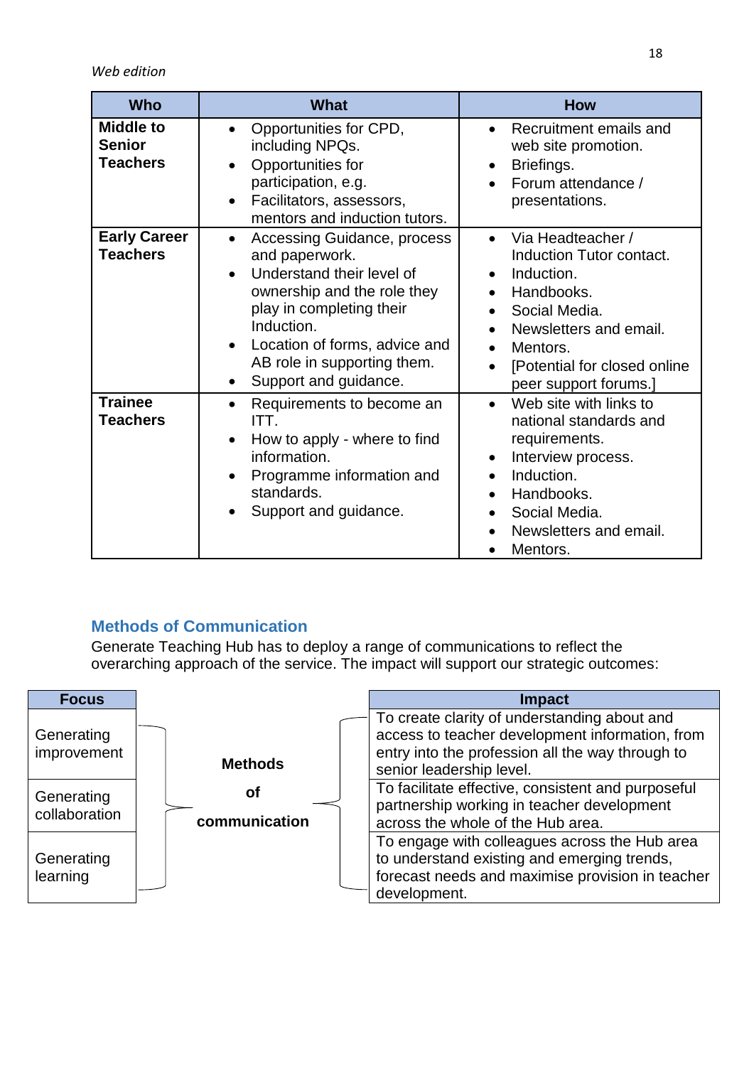*Web edition*

| <b>Who</b>                                           | <b>What</b>                                                                                                                                                                                                                                                                                | <b>How</b>                                                                                                                                                                                                                       |  |  |  |
|------------------------------------------------------|--------------------------------------------------------------------------------------------------------------------------------------------------------------------------------------------------------------------------------------------------------------------------------------------|----------------------------------------------------------------------------------------------------------------------------------------------------------------------------------------------------------------------------------|--|--|--|
| <b>Middle to</b><br><b>Senior</b><br><b>Teachers</b> | Opportunities for CPD,<br>$\bullet$<br>including NPQs.<br>Opportunities for<br>participation, e.g.<br>Facilitators, assessors,<br>$\bullet$<br>mentors and induction tutors.                                                                                                               | Recruitment emails and<br>web site promotion.<br>Briefings.<br>Forum attendance /<br>presentations.                                                                                                                              |  |  |  |
| <b>Early Career</b><br><b>Teachers</b>               | <b>Accessing Guidance, process</b><br>$\bullet$<br>and paperwork.<br>Understand their level of<br>$\bullet$<br>ownership and the role they<br>play in completing their<br>Induction.<br>Location of forms, advice and<br>AB role in supporting them.<br>Support and guidance.<br>$\bullet$ | Via Headteacher /<br>Induction Tutor contact.<br>Induction.<br>Handbooks.<br>$\bullet$<br>Social Media.<br>$\bullet$<br>Newsletters and email.<br>$\bullet$<br>Mentors.<br>[Potential for closed online<br>peer support forums.] |  |  |  |
| <b>Trainee</b><br><b>Teachers</b>                    | Requirements to become an<br>$\bullet$<br>ITT.<br>How to apply - where to find<br>$\bullet$<br>information.<br>Programme information and<br>$\bullet$<br>standards.<br>Support and guidance.                                                                                               | Web site with links to<br>national standards and<br>requirements.<br>Interview process.<br>Induction.<br>$\bullet$<br>Handbooks.<br>$\bullet$<br>Social Media.<br>$\bullet$<br>Newsletters and email.<br>Mentors.                |  |  |  |

### <span id="page-17-0"></span>**Methods of Communication**

Generate Teaching Hub has to deploy a range of communications to reflect the overarching approach of the service. The impact will support our strategic outcomes:

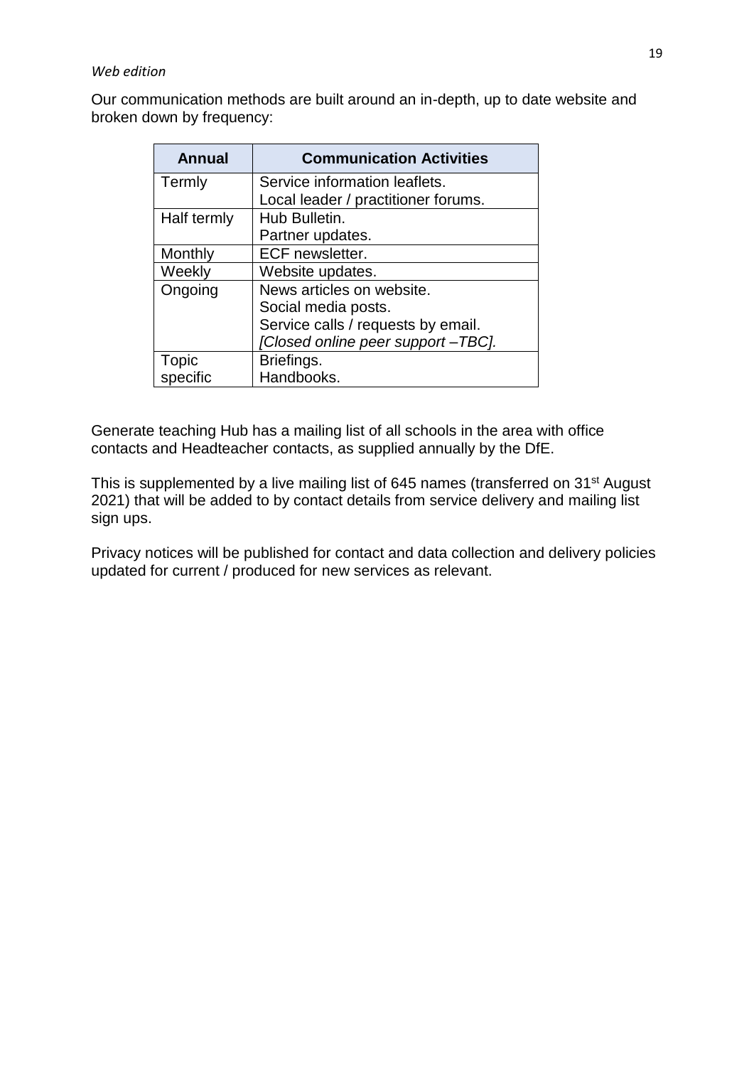### *Web edition*

Our communication methods are built around an in-depth, up to date website and broken down by frequency:

| <b>Annual</b> | <b>Communication Activities</b>     |
|---------------|-------------------------------------|
| Termly        | Service information leaflets.       |
|               | Local leader / practitioner forums. |
| Half termly   | Hub Bulletin.                       |
|               | Partner updates.                    |
| Monthly       | <b>ECF</b> newsletter.              |
| Weekly        | Website updates.                    |
| Ongoing       | News articles on website.           |
|               | Social media posts.                 |
|               | Service calls / requests by email.  |
|               | [Closed online peer support-TBC].   |
| Topic         | Briefings.                          |
| specific      | Handbooks.                          |

Generate teaching Hub has a mailing list of all schools in the area with office contacts and Headteacher contacts, as supplied annually by the DfE.

This is supplemented by a live mailing list of 645 names (transferred on 31<sup>st</sup> August 2021) that will be added to by contact details from service delivery and mailing list sign ups.

Privacy notices will be published for contact and data collection and delivery policies updated for current / produced for new services as relevant.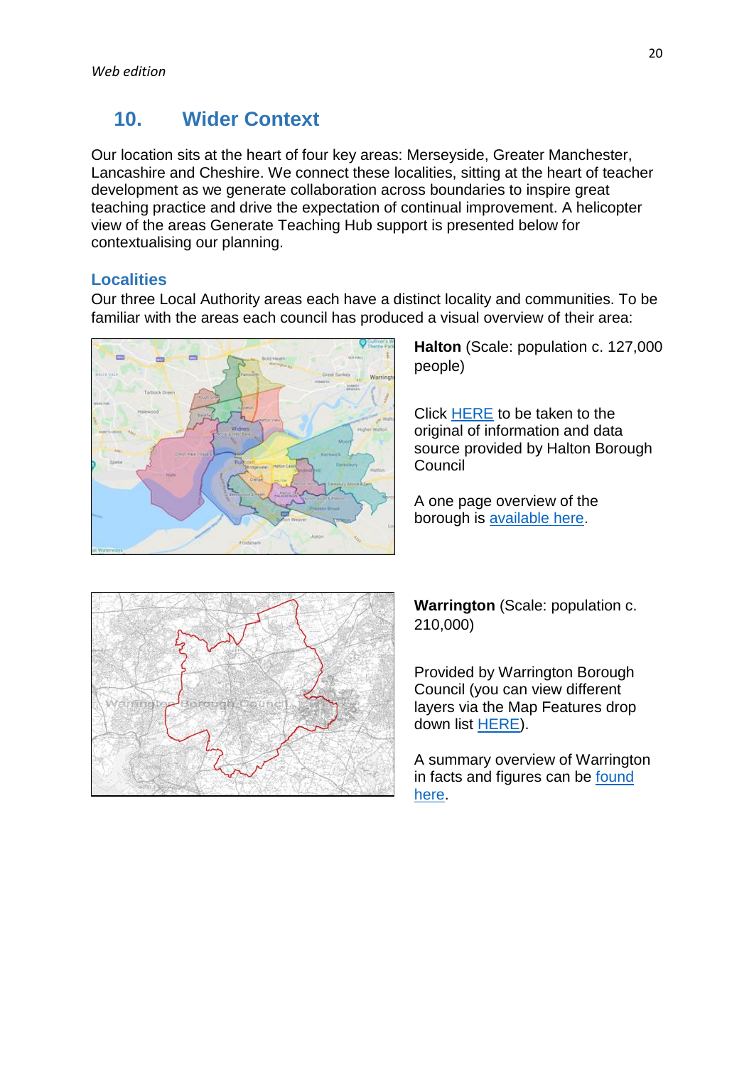# <span id="page-19-0"></span>**10. Wider Context**

Our location sits at the heart of four key areas: Merseyside, Greater Manchester, Lancashire and Cheshire. We connect these localities, sitting at the heart of teacher development as we generate collaboration across boundaries to inspire great teaching practice and drive the expectation of continual improvement. A helicopter view of the areas Generate Teaching Hub support is presented below for contextualising our planning.

### <span id="page-19-1"></span>**Localities**

Our three Local Authority areas each have a distinct locality and communities. To be familiar with the areas each council has produced a visual overview of their area:



**Halton** (Scale: population c. 127,000 people)

Click [HERE](https://www.google.com/maps/d/viewer?mid=1klT-6XkXvGZ8VNE7_kH9CJEHJoBwNng0&ll=53.35382188896703,-2.7138389999999823&z=12) to be taken to the original of information and data source provided by Halton Borough Council

A one page overview of the borough is [available here.](https://www3.halton.gov.uk/Pages/councildemocracy/pdfs/CensusandStatistics/Halton%20Borough%20Profile.pdf)



**Warrington** (Scale: population c. 210,000)

Provided by Warrington Borough Council (you can view different layers via the Map Features drop down list [HERE\)](http://mapping.warrington.gov.uk/wml/Map.aspx?MapName=Planning_and_LLC_External).

A summary overview of Warrington in facts and figures can be **found** [here.](https://www.warrington.gov.uk/facts)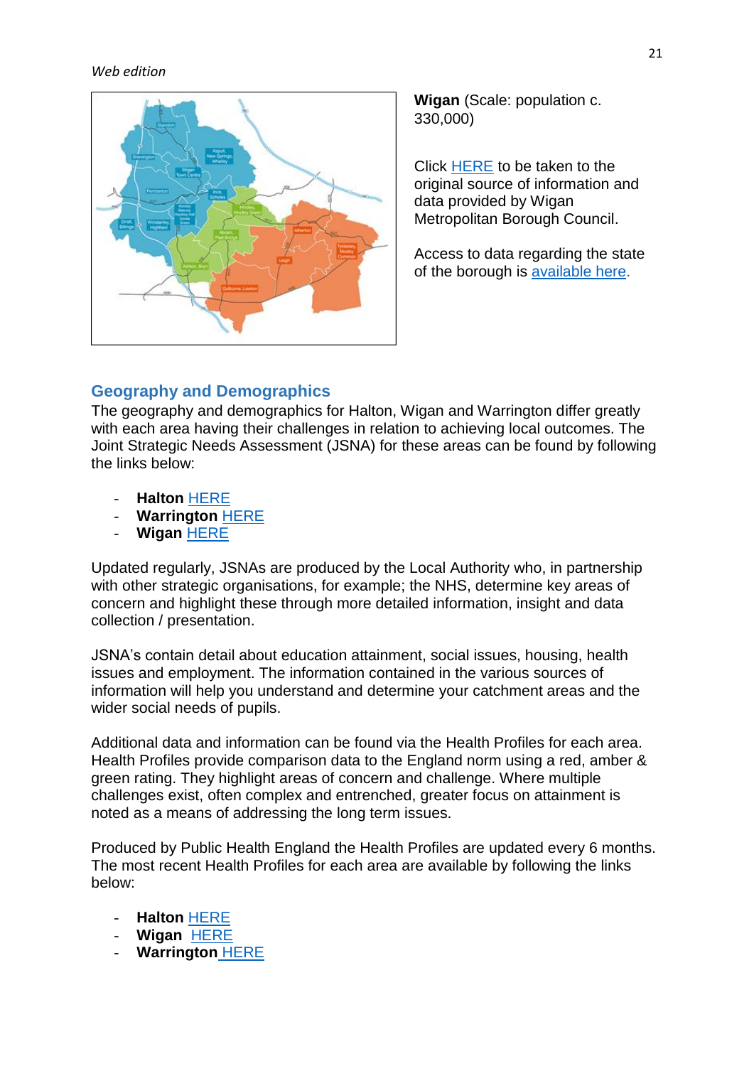### *Web edition*



**Wigan** (Scale: population c. 330,000)

Click [HERE](https://www.wigan.gov.uk/Council/Data-Statistics/Borough-Story/Locality-map.aspx) to be taken to the original source of information and data provided by Wigan Metropolitan Borough Council.

Access to data regarding the state of the borough is [available here.](https://www.wigan.gov.uk/Council/Data-Statistics/Borough-Story/KnowledgeLibrary.aspx)

### <span id="page-20-0"></span>**Geography and Demographics**

The geography and demographics for Halton, Wigan and Warrington differ greatly with each area having their challenges in relation to achieving local outcomes. The Joint Strategic Needs Assessment (JSNA) for these areas can be found by following the links below:

- **Halton** [HERE](https://www3.halton.gov.uk/Pages/health/JSNA/JSNASummary.pdf)
- **Warrington** [HERE](https://www.warrington.gov.uk/sites/default/files/2020-07/Joint%20strategic%20needs%20assessment.pdf)
- **Wigan** [HERE](https://www.wigan.gov.uk/Docs/PDF/Council/Strategies-Plans-and-Policies/Planning/Health-and-Social-Care/JSNAWigan4-17updatedversion.pdf)

Updated regularly, JSNAs are produced by the Local Authority who, in partnership with other strategic organisations, for example; the NHS, determine key areas of concern and highlight these through more detailed information, insight and data collection / presentation.

JSNA's contain detail about education attainment, social issues, housing, health issues and employment. The information contained in the various sources of information will help you understand and determine your catchment areas and the wider social needs of pupils.

Additional data and information can be found via the Health Profiles for each area. Health Profiles provide comparison data to the England norm using a red, amber & green rating. They highlight areas of concern and challenge. Where multiple challenges exist, often complex and entrenched, greater focus on attainment is noted as a means of addressing the long term issues.

Produced by Public Health England the Health Profiles are updated every 6 months. The most recent Health Profiles for each area are available by following the links below:

- **Halton** [HERE](https://fingertips.phe.org.uk/static-reports/public-health-outcomes-framework/at-a-glance/E06000006.html?area-name=Halton)
- **Wigan** [HERE](https://fingertips.phe.org.uk/profile/public-health-outcomes-framework/data#page/13/ati/102/are/E08000010)
- **Warrington** [HERE](https://fingertips.phe.org.uk/static-reports/public-health-outcomes-framework/at-a-glance/E06000007.html?area-name=Warrington)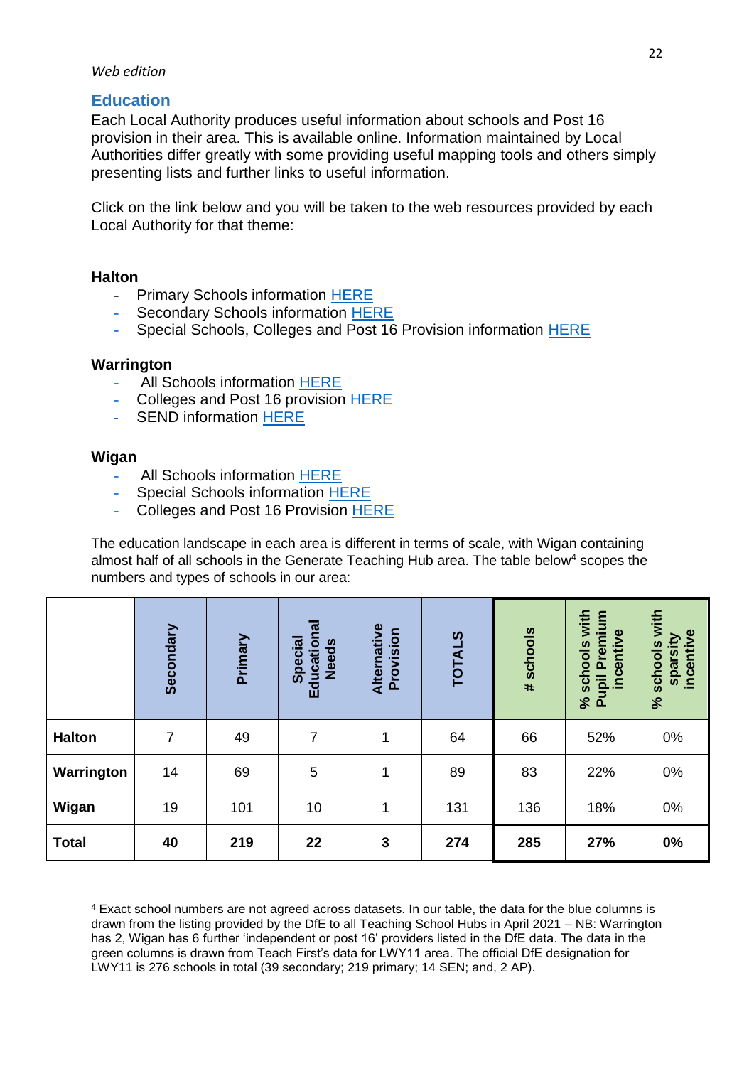### *Web edition*

### <span id="page-21-0"></span>**Education**

Each Local Authority produces useful information about schools and Post 16 provision in their area. This is available online. Information maintained by Local Authorities differ greatly with some providing useful mapping tools and others simply presenting lists and further links to useful information.

Click on the link below and you will be taken to the web resources provided by each Local Authority for that theme:

### **Halton**

- Primary Schools information [HERE](https://www3.halton.gov.uk/Pages/EducationandFamilies/PDFs/Schools/admissions/PrimaryBooklet.PDF)
- Secondary Schools information [HERE](https://www3.halton.gov.uk/Pages/EducationandFamilies/PDFs/Schools/admissions/AdmissiontoSecondarySchoolBooklet.PDF)
- Special Schools, Colleges and Post 16 Provision information [HERE](https://localoffer.haltonchildrenstrust.co.uk/schools-colleges-post16/)

### **Warrington**

- All Schools information [HERE](https://www.warrington.gov.uk/schools)
- Colleges and Post 16 provision [HERE](https://www.warrington.gov.uk/post-16-education-and-careers)
- SEND information [HERE](https://www.mylifewarrington.co.uk/kb5/warrington/directory/localoffer.page?localofferchannel=3&localofferagebands=3)

### **Wigan**

**.** 

- All Schools information [HERE](https://apps.wigan.gov.uk/schools/SchoolMap.aspx)
- Special Schools information [HERE](https://apps.wigan.gov.uk/schools/SchoolMap.aspx)
- Colleges and Post 16 Provision [HERE](https://www.wigan.gov.uk/Resident/Jobs-Careers/Education.aspx)

The education landscape in each area is different in terms of scale, with Wigan containing almost half of all schools in the Generate Teaching Hub area. The table below<sup>4</sup> scopes the numbers and types of schools in our area:

|               | Secondary      | Primary | $\overline{\overline{a}}$<br>Special<br>Education<br><b>Needs</b> | Alternative<br>Provision | <b>TOTALS</b> | # schools | with<br>Premium<br>incentive<br>schools<br>Pupil<br>$\aleph$ | with<br>incentive<br>sparsity<br>schools<br>$\aleph$ |
|---------------|----------------|---------|-------------------------------------------------------------------|--------------------------|---------------|-----------|--------------------------------------------------------------|------------------------------------------------------|
| <b>Halton</b> | $\overline{7}$ | 49      | 7                                                                 | 1                        | 64            | 66        | 52%                                                          | 0%                                                   |
| Warrington    | 14             | 69      | 5                                                                 | $\mathbf{1}$             | 89            | 83        | 22%                                                          | 0%                                                   |
| Wigan         | 19             | 101     | 10                                                                | 1                        | 131           | 136       | 18%                                                          | 0%                                                   |
| <b>Total</b>  | 40             | 219     | 22                                                                | 3                        | 274           | 285       | 27%                                                          | 0%                                                   |

<sup>4</sup> Exact school numbers are not agreed across datasets. In our table, the data for the blue columns is drawn from the listing provided by the DfE to all Teaching School Hubs in April 2021 – NB: Warrington has 2, Wigan has 6 further 'independent or post 16' providers listed in the DfE data. The data in the green columns is drawn from Teach First's data for LWY11 area. The official DfE designation for LWY11 is 276 schools in total (39 secondary; 219 primary; 14 SEN; and, 2 AP).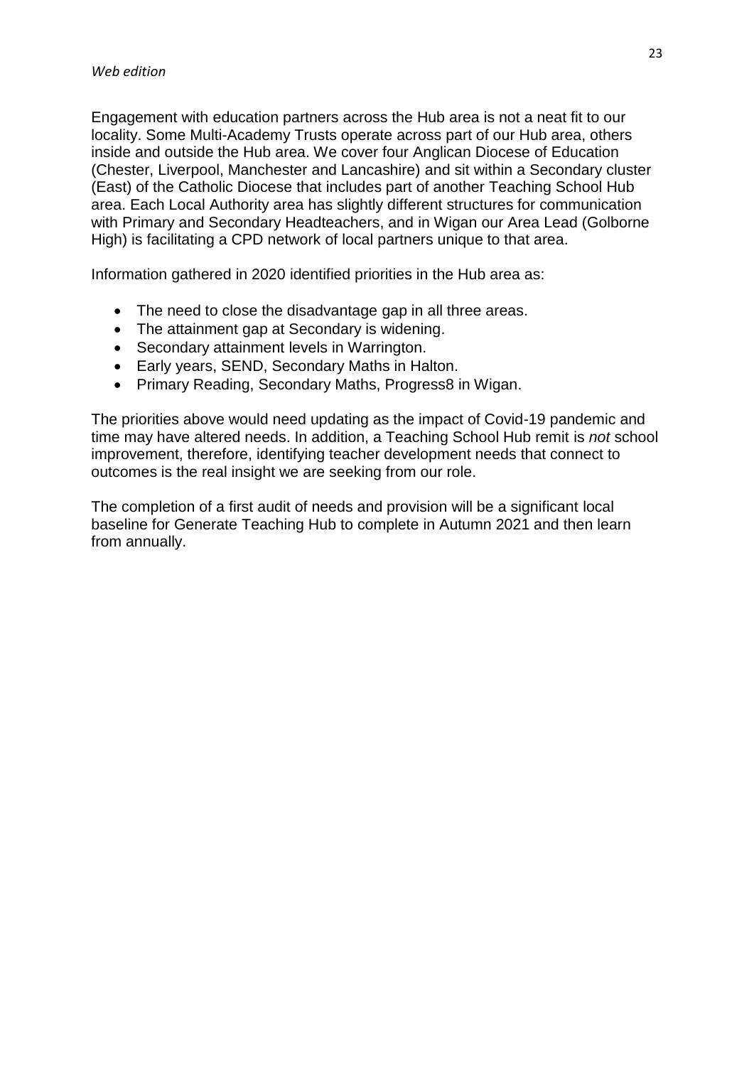Engagement with education partners across the Hub area is not a neat fit to our locality. Some Multi-Academy Trusts operate across part of our Hub area, others inside and outside the Hub area. We cover four Anglican Diocese of Education (Chester, Liverpool, Manchester and Lancashire) and sit within a Secondary cluster (East) of the Catholic Diocese that includes part of another Teaching School Hub area. Each Local Authority area has slightly different structures for communication with Primary and Secondary Headteachers, and in Wigan our Area Lead (Golborne High) is facilitating a CPD network of local partners unique to that area.

Information gathered in 2020 identified priorities in the Hub area as:

- The need to close the disadvantage gap in all three areas.
- The attainment gap at Secondary is widening.
- Secondary attainment levels in Warrington.
- Early years, SEND, Secondary Maths in Halton.
- Primary Reading, Secondary Maths, Progress8 in Wigan.

The priorities above would need updating as the impact of Covid-19 pandemic and time may have altered needs. In addition, a Teaching School Hub remit is *not* school improvement, therefore, identifying teacher development needs that connect to outcomes is the real insight we are seeking from our role.

The completion of a first audit of needs and provision will be a significant local baseline for Generate Teaching Hub to complete in Autumn 2021 and then learn from annually.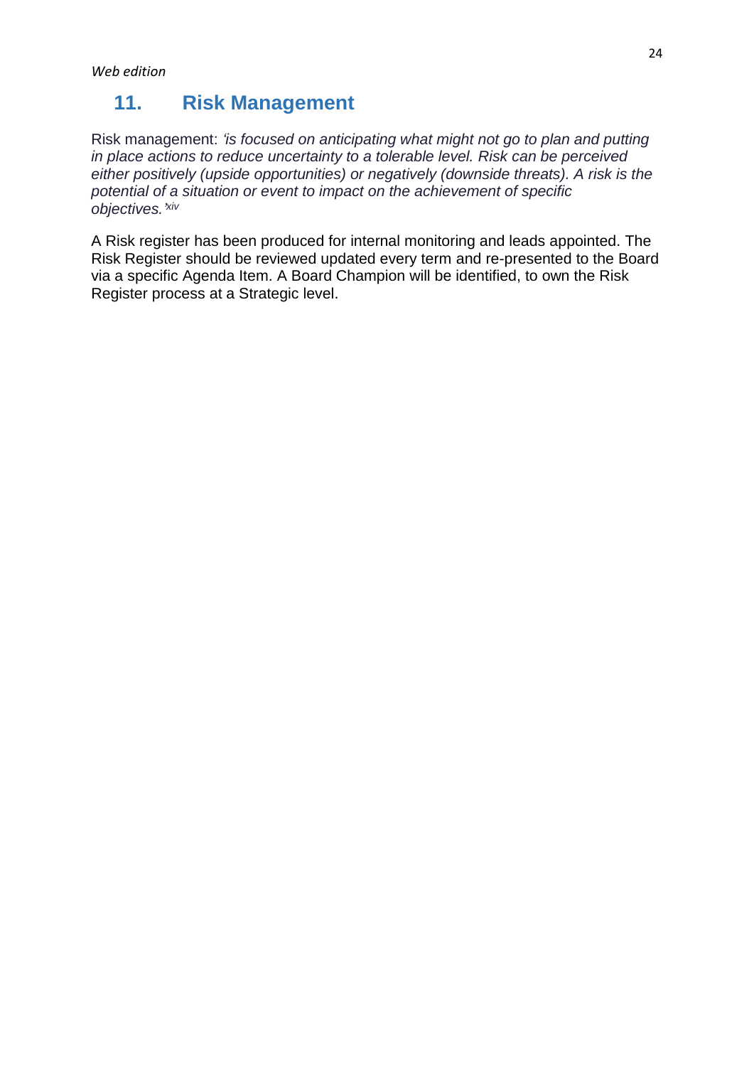# <span id="page-23-0"></span>**11. Risk Management**

Risk management: *'is focused on anticipating what might not go to plan and putting in place actions to reduce uncertainty to a tolerable level. Risk can be perceived either positively (upside opportunities) or negatively (downside threats). A risk is the potential of a situation or event to impact on the achievement of specific objectives.' xiv*

A Risk register has been produced for internal monitoring and leads appointed. The Risk Register should be reviewed updated every term and re-presented to the Board via a specific Agenda Item. A Board Champion will be identified, to own the Risk Register process at a Strategic level.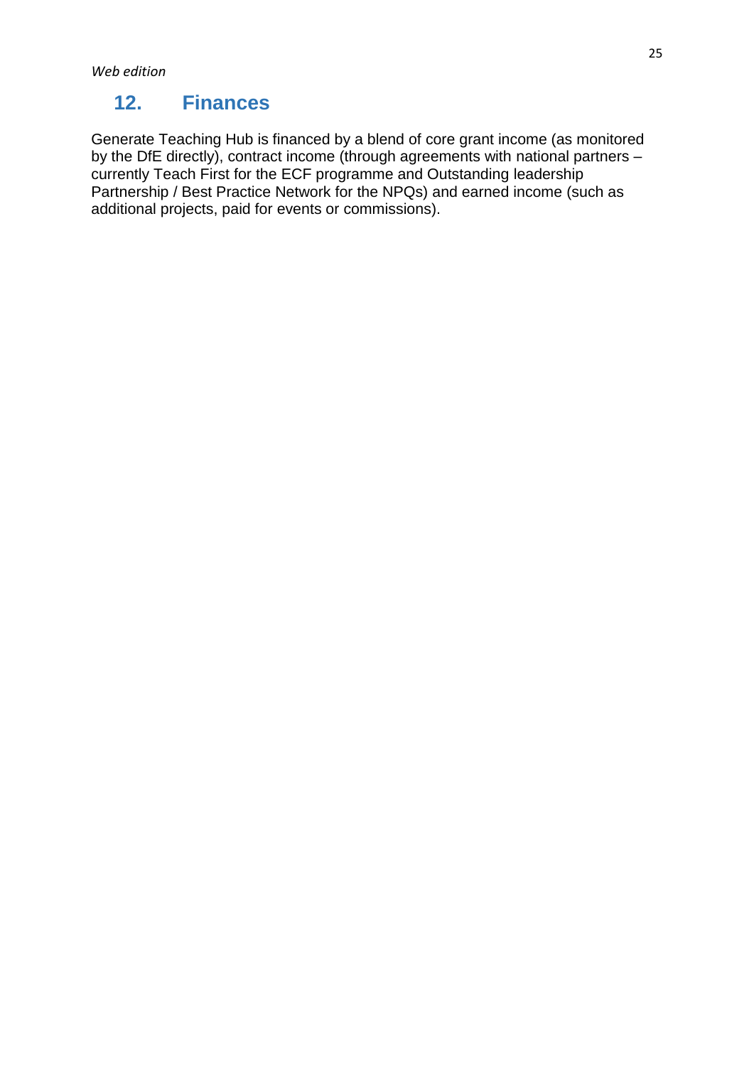# <span id="page-24-0"></span>**12. Finances**

Generate Teaching Hub is financed by a blend of core grant income (as monitored by the DfE directly), contract income (through agreements with national partners – currently Teach First for the ECF programme and Outstanding leadership Partnership / Best Practice Network for the NPQs) and earned income (such as additional projects, paid for events or commissions).